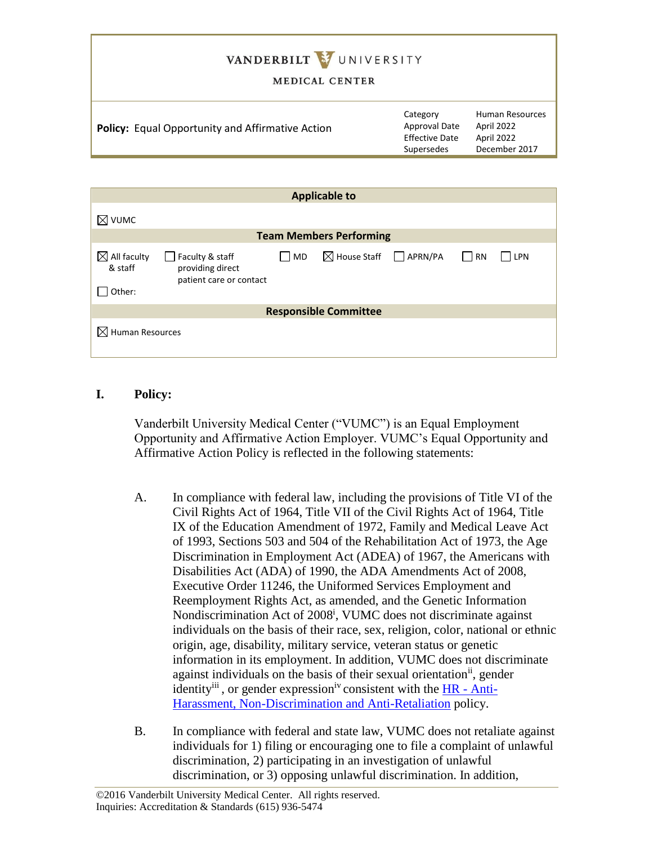# VANDERBILT VUNIVERSITY

#### MEDICAL CENTER

|  | <b>Policy:</b> Equal Opportunity and Affirmative Action | <b>Human Resources</b><br>Category<br>Approval Date<br>April 2022<br><b>Effective Date</b><br>April 2022<br>December 2017<br>Supersedes |  |
|--|---------------------------------------------------------|-----------------------------------------------------------------------------------------------------------------------------------------|--|
|--|---------------------------------------------------------|-----------------------------------------------------------------------------------------------------------------------------------------|--|

| <b>Applicable to</b>                         |                                                                |    |                                        |  |       |     |  |
|----------------------------------------------|----------------------------------------------------------------|----|----------------------------------------|--|-------|-----|--|
| $\boxtimes$ vumc                             |                                                                |    |                                        |  |       |     |  |
| <b>Team Members Performing</b>               |                                                                |    |                                        |  |       |     |  |
| $\boxtimes$ All faculty<br>& staff<br>Other: | Faculty & staff<br>providing direct<br>patient care or contact | MD | $\boxtimes$ House Staff $\Box$ APRN/PA |  | I IRN | LPN |  |
| <b>Responsible Committee</b>                 |                                                                |    |                                        |  |       |     |  |
| $\boxtimes$ Human Resources                  |                                                                |    |                                        |  |       |     |  |

## **I. Policy:**

Vanderbilt University Medical Center ("VUMC") is an Equal Employment Opportunity and Affirmative Action Employer. VUMC's Equal Opportunity and Affirmative Action Policy is reflected in the following statements:

- A. In compliance with federal law, including the provisions of Title VI of the Civil Rights Act of 1964, Title VII of the Civil Rights Act of 1964, Title IX of the Education Amendment of 1972, Family and Medical Leave Act of 1993, Sections 503 and 504 of the Rehabilitation Act of 1973, the Age Discrimination in Employment Act (ADEA) of 1967, the Americans with Disabilities Act (ADA) of 1990, the ADA Amendments Act of 2008, Executive Order 11246, the Uniformed Services Employment and Reemployment Rights Act, as amended, and the Genetic Information Nondiscrimination Act of 2008<sup>i</sup>, VUMC does not discriminate against individuals on the basis of their race, sex, religion, color, national or ethnic origin, age, disability, military service, veteran status or genetic information in its employment. In addition, VUMC does not discriminate against individuals on the basis of their sexual orientation<sup>ii</sup>, gender identity<sup>iii</sup>, or gender expression<sup>iv</sup> consistent with the  $HR - Anti$ [Harassment, Non-Discrimination and Anti-Retaliation](https://vanderbilt.policytech.com/docview/?docid=30163) policy.
- B. In compliance with federal and state law, VUMC does not retaliate against individuals for 1) filing or encouraging one to file a complaint of unlawful discrimination, 2) participating in an investigation of unlawful discrimination, or 3) opposing unlawful discrimination. In addition,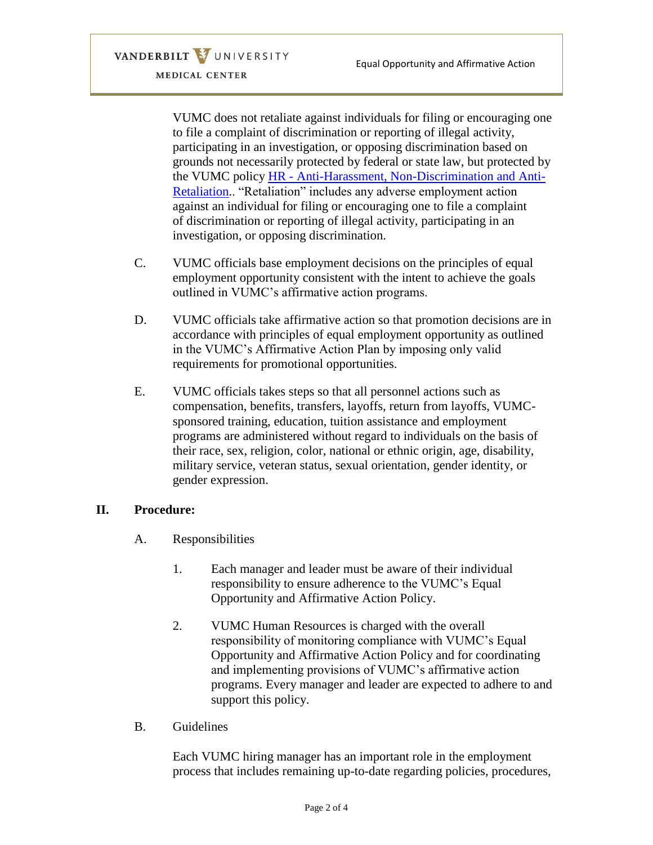VANDERBILT VUNIVERSITY MEDICAL CENTER

> VUMC does not retaliate against individuals for filing or encouraging one to file a complaint of discrimination or reporting of illegal activity, participating in an investigation, or opposing discrimination based on grounds not necessarily protected by federal or state law, but protected by the VUMC policy HR - [Anti-Harassment, Non-Discrimination and Anti-](https://vanderbilt.policytech.com/docview/?docid=30163)[Retaliation.](https://vanderbilt.policytech.com/docview/?docid=30163). "Retaliation" includes any adverse employment action against an individual for filing or encouraging one to file a complaint of discrimination or reporting of illegal activity, participating in an investigation, or opposing discrimination.

- C. VUMC officials base employment decisions on the principles of equal employment opportunity consistent with the intent to achieve the goals outlined in VUMC's affirmative action programs.
- D. VUMC officials take affirmative action so that promotion decisions are in accordance with principles of equal employment opportunity as outlined in the VUMC's Affirmative Action Plan by imposing only valid requirements for promotional opportunities.
- E. VUMC officials takes steps so that all personnel actions such as compensation, benefits, transfers, layoffs, return from layoffs, VUMCsponsored training, education, tuition assistance and employment programs are administered without regard to individuals on the basis of their race, sex, religion, color, national or ethnic origin, age, disability, military service, veteran status, sexual orientation, gender identity, or gender expression.

## **II. Procedure:**

- A. Responsibilities
	- 1. Each manager and leader must be aware of their individual responsibility to ensure adherence to the VUMC's Equal Opportunity and Affirmative Action Policy.
	- 2. VUMC Human Resources is charged with the overall responsibility of monitoring compliance with VUMC's Equal Opportunity and Affirmative Action Policy and for coordinating and implementing provisions of VUMC's affirmative action programs. Every manager and leader are expected to adhere to and support this policy.
- B. Guidelines

Each VUMC hiring manager has an important role in the employment process that includes remaining up-to-date regarding policies, procedures,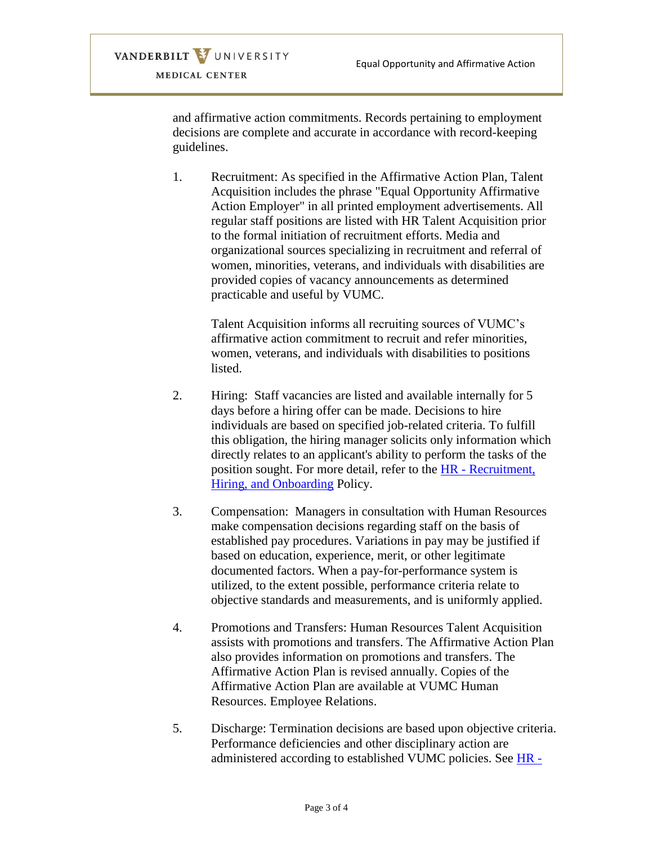and affirmative action commitments. Records pertaining to employment decisions are complete and accurate in accordance with record-keeping guidelines.

VANDERBILT VUNIVERSITY MEDICAL CENTER

> 1. Recruitment: As specified in the Affirmative Action Plan, Talent Acquisition includes the phrase "Equal Opportunity Affirmative Action Employer" in all printed employment advertisements. All regular staff positions are listed with HR Talent Acquisition prior to the formal initiation of recruitment efforts. Media and organizational sources specializing in recruitment and referral of women, minorities, veterans, and individuals with disabilities are provided copies of vacancy announcements as determined practicable and useful by VUMC.

> > Talent Acquisition informs all recruiting sources of VUMC's affirmative action commitment to recruit and refer minorities, women, veterans, and individuals with disabilities to positions listed.

- 2. Hiring: Staff vacancies are listed and available internally for 5 days before a hiring offer can be made. Decisions to hire individuals are based on specified job-related criteria. To fulfill this obligation, the hiring manager solicits only information which directly relates to an applicant's ability to perform the tasks of the position sought. For more detail, refer to the HR - [Recruitment,](https://vanderbilt.policytech.com/docview/?docid=29964)  [Hiring, and Onboarding](https://vanderbilt.policytech.com/docview/?docid=29964) Policy.
- 3. Compensation: Managers in consultation with Human Resources make compensation decisions regarding staff on the basis of established pay procedures. Variations in pay may be justified if based on education, experience, merit, or other legitimate documented factors. When a pay-for-performance system is utilized, to the extent possible, performance criteria relate to objective standards and measurements, and is uniformly applied.
- 4. Promotions and Transfers: Human Resources Talent Acquisition assists with promotions and transfers. The Affirmative Action Plan also provides information on promotions and transfers. The Affirmative Action Plan is revised annually. Copies of the Affirmative Action Plan are available at VUMC Human Resources. Employee Relations.
- 5. Discharge: Termination decisions are based upon objective criteria. Performance deficiencies and other disciplinary action are administered according to established VUMC policies. See [HR -](https://vanderbilt.policytech.com/docview/?docid=12126)